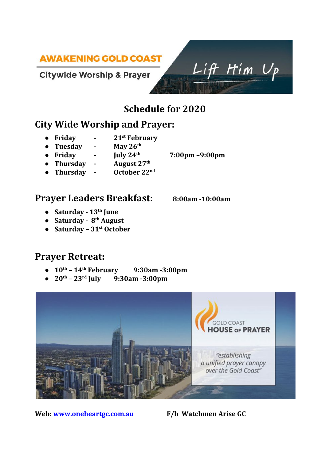# **AWAKENING GOLD COAST**

#### **Citywide Worship & Prayer**

# **Schedule for 2020**

# **City Wide Worship and Prayer:**

- **● Friday - 21 st February**
- **● Tuesday - May 26** May 26<sup>th</sup>
- **● Friday - July 24**
- **•** Thursday **-August 27th**
- **•** Thursday **-**October 22<sup>nd</sup>

#### **Prayer Leaders Breakfast: 8:00am -10:00am**

- **● Saturday - 13 th June**
- **● Saturday - 8 th August**
- **● Saturday – 31 st October**

# **Prayer Retreat:**

- $10^{\text{th}} 14^{\text{t}}$ **th February 9:30am -3:00pm**
- $\bullet$  **20<sup>th</sup> 23<sup>rd</sup> July 9:30am -3:00pm**



**Web: [www.oneheartgc.com.au](http://www.oneheartgc.com.au/) F/b Watchmen Arise GC**



 $Liff$  Him  $U_{P}$ 

**th 7:00pm –9:00pm**